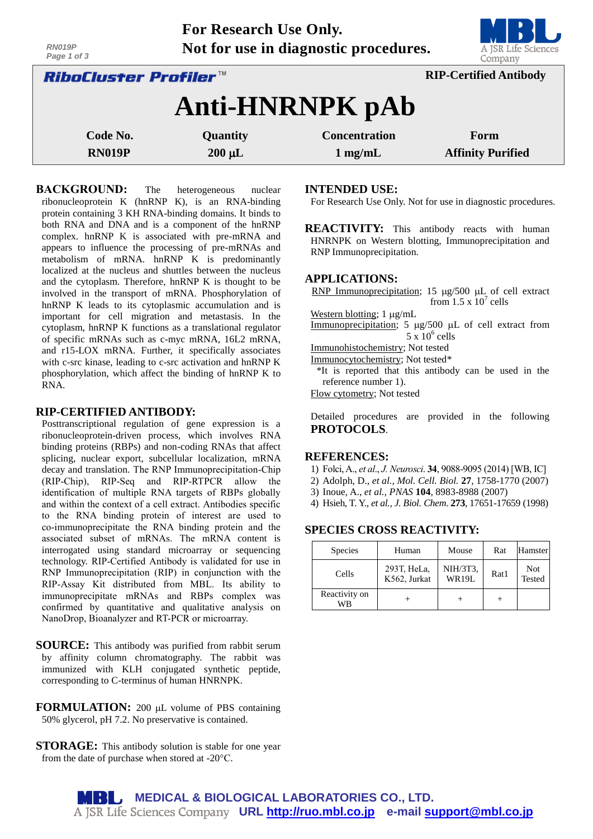| RN019P<br>Page 1 of 3     |                                                               | Not for use in diagnostic procedures.     | A JSR Life Sciences<br>Company   |  |  |  |
|---------------------------|---------------------------------------------------------------|-------------------------------------------|----------------------------------|--|--|--|
|                           | <b>RIP-Certified Antibody</b><br><i>RiboCluster Profiler™</i> |                                           |                                  |  |  |  |
|                           | Anti-HNRNPK pAb                                               |                                           |                                  |  |  |  |
| Code No.<br><b>RN019P</b> | Quantity<br>$200 \mu L$                                       | <b>Concentration</b><br>$1 \text{ mg/mL}$ | Form<br><b>Affinity Purified</b> |  |  |  |
|                           |                                                               |                                           |                                  |  |  |  |

**For Research Use Only.**

**BACKGROUND:** The heterogeneous nuclear ribonucleoprotein K (hnRNP K), is an RNA-binding protein containing 3 KH RNA-binding domains. It binds to both RNA and DNA and is a component of the hnRNP complex. hnRNP K is associated with pre-mRNA and appears to influence the processing of pre-mRNAs and metabolism of mRNA. hnRNP K is predominantly localized at the nucleus and shuttles between the nucleus and the cytoplasm. Therefore, hnRNP K is thought to be involved in the transport of mRNA. Phosphorylation of hnRNP K leads to its cytoplasmic accumulation and is important for cell migration and metastasis. In the cytoplasm, hnRNP K functions as a translational regulator of specific mRNAs such as c-myc mRNA, 16L2 mRNA, and r15-LOX mRNA. Further, it specifically associates with c-src kinase, leading to c-src activation and hnRNP K phosphorylation, which affect the binding of hnRNP K to RNA.

## **RIP-CERTIFIED ANTIBODY:**

Posttranscriptional regulation of gene expression is a ribonucleoprotein-driven process, which involves RNA binding proteins (RBPs) and non-coding RNAs that affect splicing, nuclear export, subcellular localization, mRNA decay and translation. The RNP Immunoprecipitation-Chip (RIP-Chip), RIP-Seq and RIP-RTPCR allow the identification of multiple RNA targets of RBPs globally and within the context of a cell extract. Antibodies specific to the RNA binding protein of interest are used to co-immunoprecipitate the RNA binding protein and the associated subset of mRNAs. The mRNA content is interrogated using standard microarray or sequencing technology. RIP-Certified Antibody is validated for use in RNP Immunoprecipitation (RIP) in conjunction with the RIP-Assay Kit distributed from MBL. Its ability to immunoprecipitate mRNAs and RBPs complex was confirmed by quantitative and qualitative analysis on NanoDrop, Bioanalyzer and RT-PCR or microarray.

- **SOURCE:** This antibody was purified from rabbit serum by affinity column chromatography. The rabbit was immunized with KLH conjugated synthetic peptide, corresponding to C-terminus of human HNRNPK.
- **FORMULATION:** 200 µL volume of PBS containing 50% glycerol, pH 7.2. No preservative is contained.
- **STORAGE:** This antibody solution is stable for one year from the date of purchase when stored at -20°C.

## **INTENDED USE:**

For Research Use Only. Not for use in diagnostic procedures.

**REACTIVITY:** This antibody reacts with human HNRNPK on Western blotting, Immunoprecipitation and RNP Immunoprecipitation.

#### **APPLICATIONS:**

RNP Immunoprecipitation; 15  $\mu$ g/500  $\mu$ L of cell extract from  $1.5 \times 10^7$  cells

Western blotting;  $1 \mu g/mL$ 

Immunoprecipitation;  $5 \mu g/500 \mu L$  of cell extract from  $5 \times 10^6$  cells

Immunohistochemistry; Not tested

Immunocytochemistry; Not tested\*

\*It is reported that this antibody can be used in the reference number 1).

Flow cytometry; Not tested

Detailed procedures are provided in the following **PROTOCOLS**.

#### **REFERENCES:**

- 1) Folci, A., *et al*., *J. Neurosci*. **34**, 9088-9095 (2014) [WB, IC]
- 2) Adolph, D., *et al., Mol. Cell. Biol.* **27**, 1758-1770 (2007)
- 3) Inoue, A., *et al., PNAS* **104**, 8983-8988 (2007)
- 4) Hsieh, T. Y., *et al., J. Biol. Chem*. **273**, 17651-17659 (1998)

## **SPECIES CROSS REACTIVITY:**

| <b>Species</b>      | Human                       | Mouse                    | Rat  | Hamster       |
|---------------------|-----------------------------|--------------------------|------|---------------|
| Cells               | 293T, HeLa,<br>K562, Jurkat | NIH/3T3,<br><b>WR19L</b> | Rat1 | Not<br>Tested |
| Reactivity on<br>WB |                             |                          |      |               |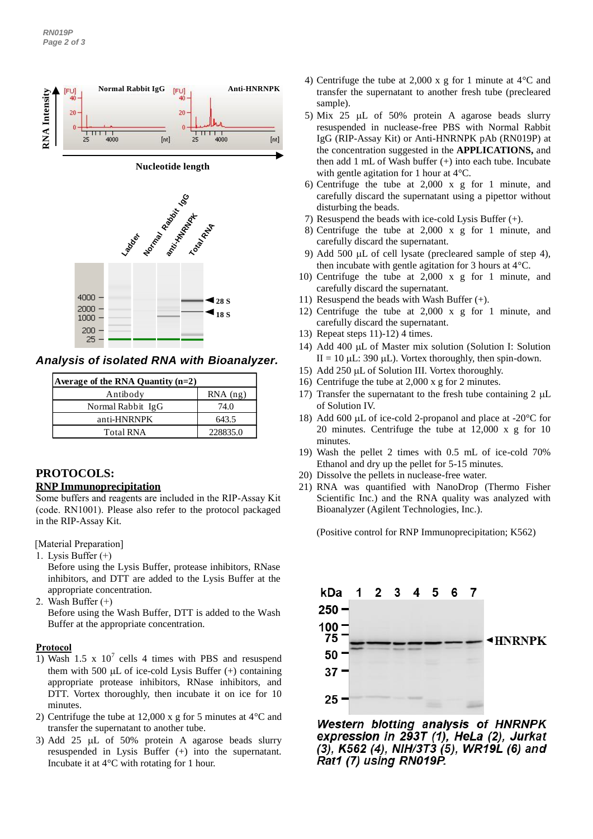

*Analysis of isolated RNA with Bioanalyzer.*

| Average of the RNA Quantity $(n=2)$ |            |  |  |  |  |
|-------------------------------------|------------|--|--|--|--|
| Antibody                            | $RNA$ (ng) |  |  |  |  |
| Normal Rabbit IgG                   | 74.0       |  |  |  |  |
| anti-HNRNPK                         | 643.5      |  |  |  |  |
| <b>Total RNA</b>                    | 228835.0   |  |  |  |  |

# **PROTOCOLS:**

## **RNP Immunoprecipitation**

Some buffers and reagents are included in the RIP-Assay Kit (code. RN1001). Please also refer to the protocol packaged in the RIP-Assay Kit.

[Material Preparation]

1. Lysis Buffer (+)

Before using the Lysis Buffer, protease inhibitors, RNase inhibitors, and DTT are added to the Lysis Buffer at the appropriate concentration.

2. Wash Buffer (+)

Before using the Wash Buffer, DTT is added to the Wash Buffer at the appropriate concentration.

# **Protocol**

- 1) Wash 1.5 x  $10^7$  cells 4 times with PBS and resuspend them with 500  $\mu$ L of ice-cold Lysis Buffer (+) containing appropriate protease inhibitors, RNase inhibitors, and DTT. Vortex thoroughly, then incubate it on ice for 10 minutes.
- 2) Centrifuge the tube at 12,000 x g for 5 minutes at 4°C and transfer the supernatant to another tube.
- 3) Add 25  $\mu$ L of 50% protein A agarose beads slurry resuspended in Lysis Buffer (+) into the supernatant. Incubate it at 4°C with rotating for 1 hour.
- 4) Centrifuge the tube at 2,000 x g for 1 minute at 4°C and transfer the supernatant to another fresh tube (precleared sample).
- 5) Mix 25  $\mu$ L of 50% protein A agarose beads slurry resuspended in nuclease-free PBS with Normal Rabbit IgG (RIP-Assay Kit) or Anti-HNRNPK pAb (RN019P) at the concentration suggested in the **APPLICATIONS,** and then add 1 mL of Wash buffer (+) into each tube. Incubate with gentle agitation for 1 hour at 4°C.
- 6) Centrifuge the tube at 2,000 x g for 1 minute, and carefully discard the supernatant using a pipettor without disturbing the beads.
- 7) Resuspend the beads with ice-cold Lysis Buffer (+).
- 8) Centrifuge the tube at 2,000 x g for 1 minute, and carefully discard the supernatant.
- 9) Add 500  $\mu$ L of cell lysate (precleared sample of step 4), then incubate with gentle agitation for 3 hours at 4°C.
- 10) Centrifuge the tube at 2,000 x g for 1 minute, and carefully discard the supernatant.
- 11) Resuspend the beads with Wash Buffer (+).
- 12) Centrifuge the tube at 2,000 x g for 1 minute, and carefully discard the supernatant.
- 13) Repeat steps 11)-12) 4 times.
- 14) Add 400 µL of Master mix solution (Solution I: Solution II = 10  $\mu$ L: 390  $\mu$ L). Vortex thoroughly, then spin-down.
- 15) Add 250  $\mu$ L of Solution III. Vortex thoroughly.
- 16) Centrifuge the tube at 2,000 x g for 2 minutes.
- 17) Transfer the supernatant to the fresh tube containing  $2 \text{ uL}$ of Solution IV.
- 18) Add 600  $\mu$ L of ice-cold 2-propanol and place at -20 $\degree$ C for 20 minutes. Centrifuge the tube at 12,000 x g for 10 minutes.
- 19) Wash the pellet 2 times with 0.5 mL of ice-cold 70% Ethanol and dry up the pellet for 5-15 minutes.
- 20) Dissolve the pellets in nuclease-free water.
- 21) RNA was quantified with NanoDrop (Thermo Fisher Scientific Inc.) and the RNA quality was analyzed with Bioanalyzer (Agilent Technologies, Inc.).

(Positive control for RNP Immunoprecipitation; K562)



Western blotting analysis of HNRNPK expression in 293T (1), HeLa (2), Jurkat (3), K562 (4), NIH/3T3 (5), WR19L (6) and Rat1 (7) using RN019P.